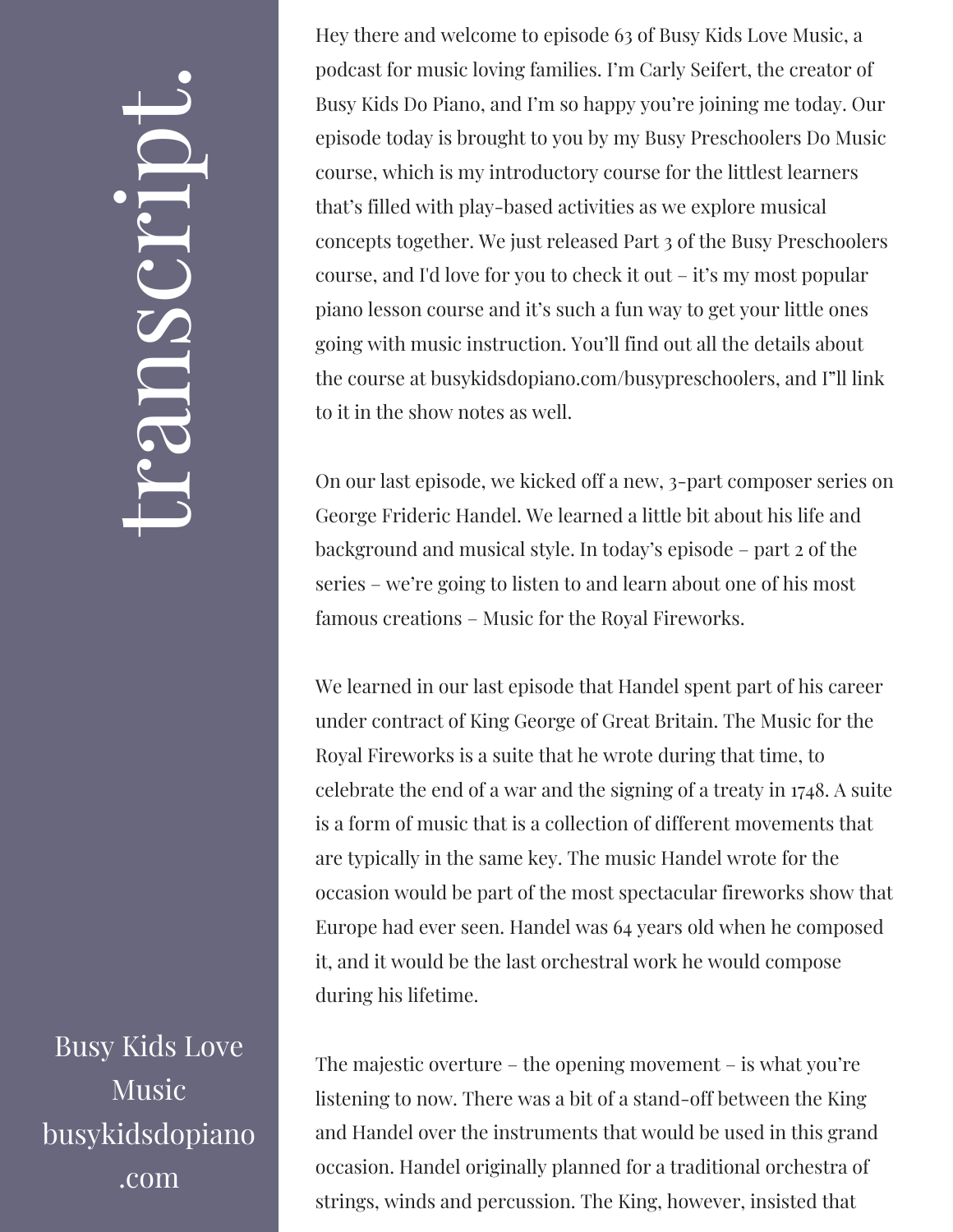## $\leftarrow$ ra<br>S n $\boldsymbol{C}$  $\bigcup$ r $\bullet$   $\overline{\phantom{a}}$  $\boxed{\phantom{1}}$  $\overline{\phantom{a}}$  $\bullet$

Busy Kids Love Music busykidsdopiano .com

Hey there and welcome to episode 63 of Busy Kids Love Music, a podcast for music loving families. I'm Carly Seifert, the creator of Busy Kids Do Piano, and I'm so happy you're joining me today. Our episode today is brought to you by my Busy Preschoolers Do Music course, which is my introductory course for the littlest learners that's filled with play-based activities as we explore musical concepts together. We just released Part 3 of the Busy Preschoolers course, and I'd love for you to check it out – it's my most popular piano lesson course and it's such a fun way to get your little ones going with music instruction. You'll find out all the details about the course at busykidsdopiano.com/busypreschoolers, and I"ll link to it in the show notes as well.

On our last episode, we kicked off a new, 3-part composer series on George Frideric Handel. We learned a little bit about his life and background and musical style. In today's episode – part 2 of the series – we're going to listen to and learn about one of his most famous creations – Music for the Royal Fireworks.

We learned in our last episode that Handel spent part of his career under contract of King George of Great Britain. The Music for the Royal Fireworks is a suite that he wrote during that time, to celebrate the end of a war and the signing of a treaty in 1748. A suite is a form of music that is a collection of different movements that are typically in the same key. The music Handel wrote for the occasion would be part of the most spectacular fireworks show that Europe had ever seen. Handel was 64 years old when he composed it, and it would be the last orchestral work he would compose during his lifetime.

The majestic overture – the opening movement – is what you're listening to now. There was a bit of a stand-off between the King and Handel over the instruments that would be used in this grand occasion. Handel originally planned for a traditional orchestra of strings, winds and percussion. The King, however, insisted that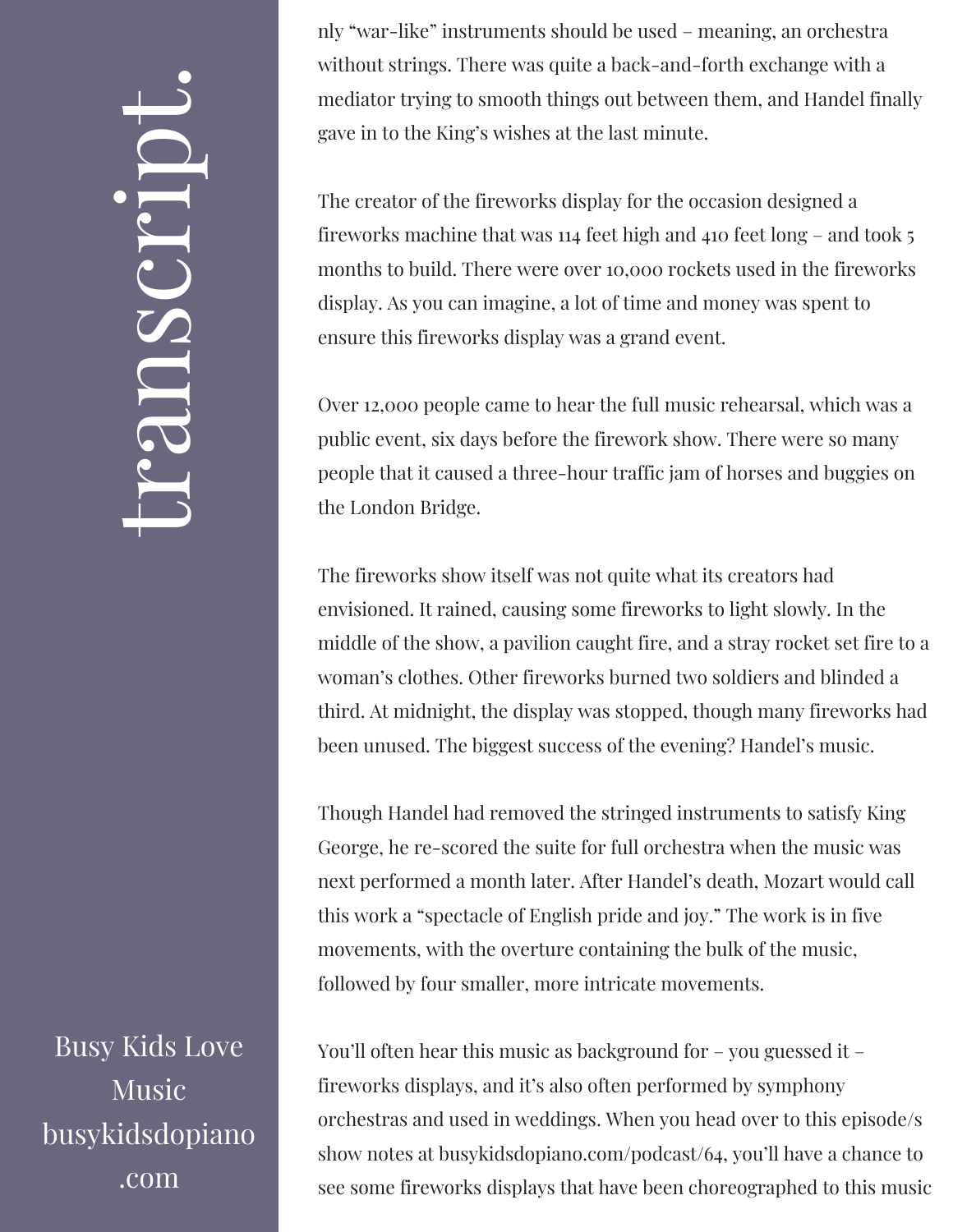## $\leftarrow$ ra<br>S n $\boldsymbol{C}$  $\bigcup$ r $\bullet$   $\overline{\phantom{a}}$  $\boxed{\phantom{1}}$  $\overline{\phantom{a}}$  $\bullet$

Busy Kids Love **Music** busykidsdopiano .com

nly "war-like" instruments should be used – meaning, an orchestra without strings. There was quite a back-and-forth exchange with a mediator trying to smooth things out between them, and Handel finally gave in to the King's wishes at the last minute.

The creator of the fireworks display for the occasion designed a fireworks machine that was 114 feet high and 410 feet long – and took 5 months to build. There were over 10,000 rockets used in the fireworks display. As you can imagine, a lot of time and money was spent to ensure this fireworks display was a grand event.

Over 12,000 people came to hear the full music rehearsal, which was a public event, six days before the firework show. There were so many people that it caused a three-hour traffic jam of horses and buggies on the London Bridge.

The fireworks show itself was not quite what its creators had envisioned. It rained, causing some fireworks to light slowly. In the middle of the show, a pavilion caught fire, and a stray rocket set fire to a woman's clothes. Other fireworks burned two soldiers and blinded a third. At midnight, the display was stopped, though many fireworks had been unused. The biggest success of the evening? Handel's music.

Though Handel had removed the stringed instruments to satisfy King George, he re-scored the suite for full orchestra when the music was next performed a month later. After Handel's death, Mozart would call this work a "spectacle of English pride and joy." The work is in five movements, with the overture containing the bulk of the music, followed by four smaller, more intricate movements.

You'll often hear this music as background for – you guessed it – fireworks displays, and it's also often performed by symphony orchestras and used in weddings. When you head over to this episode/s show notes at busykidsdopiano.com/podcast/64, you'll have a chance to see some fireworks displays that have been choreographed to this music